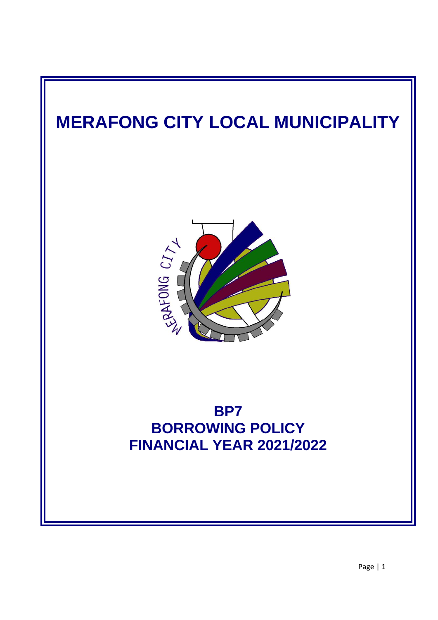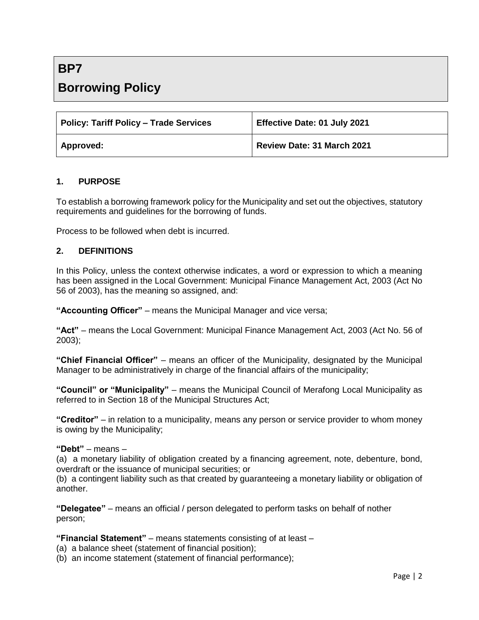# **BP7 Borrowing Policy**

| <b>Policy: Tariff Policy - Trade Services</b> | Effective Date: 01 July 2021 |
|-----------------------------------------------|------------------------------|
| Approved:                                     | Review Date: 31 March 2021   |

# **1. PURPOSE**

To establish a borrowing framework policy for the Municipality and set out the objectives, statutory requirements and guidelines for the borrowing of funds.

Process to be followed when debt is incurred.

### **2. DEFINITIONS**

In this Policy, unless the context otherwise indicates, a word or expression to which a meaning has been assigned in the Local Government: Municipal Finance Management Act, 2003 (Act No 56 of 2003), has the meaning so assigned, and:

**"Accounting Officer"** – means the Municipal Manager and vice versa;

**"Act"** – means the Local Government: Municipal Finance Management Act, 2003 (Act No. 56 of 2003);

**"Chief Financial Officer"** – means an officer of the Municipality, designated by the Municipal Manager to be administratively in charge of the financial affairs of the municipality;

**"Council" or "Municipality"** – means the Municipal Council of Merafong Local Municipality as referred to in Section 18 of the Municipal Structures Act;

**"Creditor"** – in relation to a municipality, means any person or service provider to whom money is owing by the Municipality;

#### **"Debt"** – means –

(a) a monetary liability of obligation created by a financing agreement, note, debenture, bond, overdraft or the issuance of municipal securities; or

(b) a contingent liability such as that created by guaranteeing a monetary liability or obligation of another.

**"Delegatee"** – means an official / person delegated to perform tasks on behalf of nother person;

**"Financial Statement"** – means statements consisting of at least –

- (a) a balance sheet (statement of financial position);
- (b) an income statement (statement of financial performance);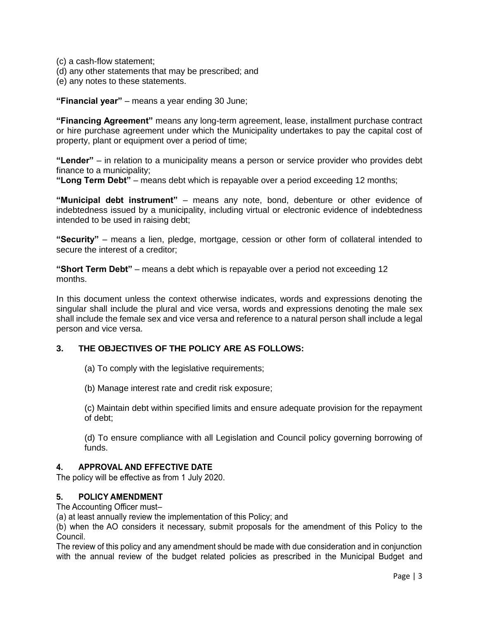- (c) a cash-flow statement;
- (d) any other statements that may be prescribed; and
- (e) any notes to these statements.

**"Financial year"** – means a year ending 30 June;

**"Financing Agreement"** means any long-term agreement, lease, installment purchase contract or hire purchase agreement under which the Municipality undertakes to pay the capital cost of property, plant or equipment over a period of time;

**"Lender"** – in relation to a municipality means a person or service provider who provides debt finance to a municipality;

**"Long Term Debt"** – means debt which is repayable over a period exceeding 12 months;

**"Municipal debt instrument"** – means any note, bond, debenture or other evidence of indebtedness issued by a municipality, including virtual or electronic evidence of indebtedness intended to be used in raising debt;

**"Security"** – means a lien, pledge, mortgage, cession or other form of collateral intended to secure the interest of a creditor;

**"Short Term Debt"** – means a debt which is repayable over a period not exceeding 12 months.

In this document unless the context otherwise indicates, words and expressions denoting the singular shall include the plural and vice versa, words and expressions denoting the male sex shall include the female sex and vice versa and reference to a natural person shall include a legal person and vice versa.

## **3. THE OBJECTIVES OF THE POLICY ARE AS FOLLOWS:**

(a) To comply with the legislative requirements;

(b) Manage interest rate and credit risk exposure;

(c) Maintain debt within specified limits and ensure adequate provision for the repayment of debt;

(d) To ensure compliance with all Legislation and Council policy governing borrowing of funds.

### **4. APPROVAL AND EFFECTIVE DATE**

The policy will be effective as from 1 July 2020.

#### **5. POLICY AMENDMENT**

The Accounting Officer must–

(a) at least annually review the implementation of this Policy; and

(b) when the AO considers it necessary, submit proposals for the amendment of this Policy to the Council.

The review of this policy and any amendment should be made with due consideration and in conjunction with the annual review of the budget related policies as prescribed in the Municipal Budget and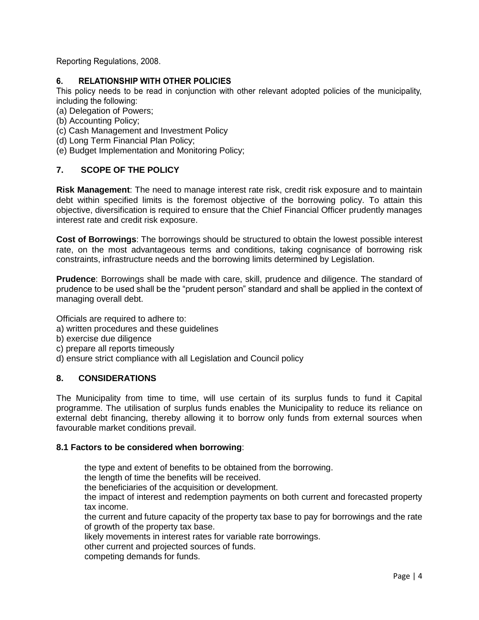Reporting Regulations, 2008.

# **6. RELATIONSHIP WITH OTHER POLICIES**

This policy needs to be read in conjunction with other relevant adopted policies of the municipality, including the following:

(a) Delegation of Powers;

- (b) Accounting Policy;
- (c) Cash Management and Investment Policy
- (d) Long Term Financial Plan Policy;
- (e) Budget Implementation and Monitoring Policy;

# **7. SCOPE OF THE POLICY**

**Risk Management**: The need to manage interest rate risk, credit risk exposure and to maintain debt within specified limits is the foremost objective of the borrowing policy. To attain this objective, diversification is required to ensure that the Chief Financial Officer prudently manages interest rate and credit risk exposure.

**Cost of Borrowings**: The borrowings should be structured to obtain the lowest possible interest rate, on the most advantageous terms and conditions, taking cognisance of borrowing risk constraints, infrastructure needs and the borrowing limits determined by Legislation.

**Prudence**: Borrowings shall be made with care, skill, prudence and diligence. The standard of prudence to be used shall be the "prudent person" standard and shall be applied in the context of managing overall debt.

Officials are required to adhere to:

- a) written procedures and these guidelines
- b) exercise due diligence
- c) prepare all reports timeously
- d) ensure strict compliance with all Legislation and Council policy

# **8. CONSIDERATIONS**

The Municipality from time to time, will use certain of its surplus funds to fund it Capital programme. The utilisation of surplus funds enables the Municipality to reduce its reliance on external debt financing, thereby allowing it to borrow only funds from external sources when favourable market conditions prevail.

#### **8.1 Factors to be considered when borrowing**:

the type and extent of benefits to be obtained from the borrowing. the length of time the benefits will be received. the beneficiaries of the acquisition or development. the impact of interest and redemption payments on both current and forecasted property tax income. the current and future capacity of the property tax base to pay for borrowings and the rate of growth of the property tax base. likely movements in interest rates for variable rate borrowings. other current and projected sources of funds. competing demands for funds.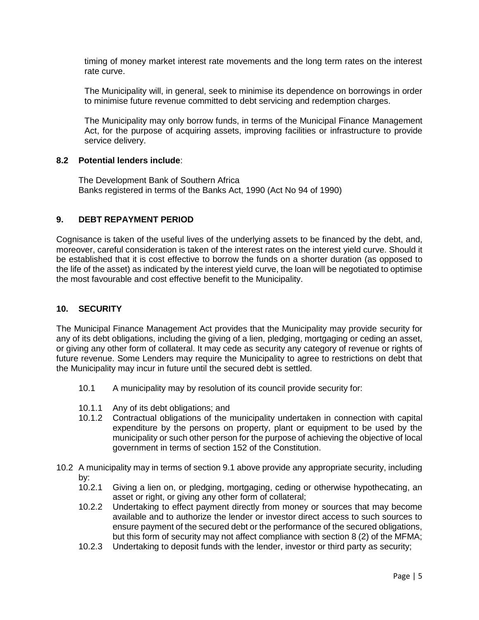timing of money market interest rate movements and the long term rates on the interest rate curve.

The Municipality will, in general, seek to minimise its dependence on borrowings in order to minimise future revenue committed to debt servicing and redemption charges.

The Municipality may only borrow funds, in terms of the Municipal Finance Management Act, for the purpose of acquiring assets, improving facilities or infrastructure to provide service delivery.

### **8.2 Potential lenders include**:

The Development Bank of Southern Africa Banks registered in terms of the Banks Act, 1990 (Act No 94 of 1990)

### **9. DEBT REPAYMENT PERIOD**

Cognisance is taken of the useful lives of the underlying assets to be financed by the debt, and, moreover, careful consideration is taken of the interest rates on the interest yield curve. Should it be established that it is cost effective to borrow the funds on a shorter duration (as opposed to the life of the asset) as indicated by the interest yield curve, the loan will be negotiated to optimise the most favourable and cost effective benefit to the Municipality.

## **10. SECURITY**

The Municipal Finance Management Act provides that the Municipality may provide security for any of its debt obligations, including the giving of a lien, pledging, mortgaging or ceding an asset, or giving any other form of collateral. It may cede as security any category of revenue or rights of future revenue. Some Lenders may require the Municipality to agree to restrictions on debt that the Municipality may incur in future until the secured debt is settled.

- 10.1 A municipality may by resolution of its council provide security for:
- 10.1.1 Any of its debt obligations; and
- 10.1.2 Contractual obligations of the municipality undertaken in connection with capital expenditure by the persons on property, plant or equipment to be used by the municipality or such other person for the purpose of achieving the objective of local government in terms of section 152 of the Constitution.
- 10.2 A municipality may in terms of section 9.1 above provide any appropriate security, including by:
	- 10.2.1 Giving a lien on, or pledging, mortgaging, ceding or otherwise hypothecating, an asset or right, or giving any other form of collateral;
	- 10.2.2 Undertaking to effect payment directly from money or sources that may become available and to authorize the lender or investor direct access to such sources to ensure payment of the secured debt or the performance of the secured obligations, but this form of security may not affect compliance with section 8 (2) of the MFMA;
	- 10.2.3 Undertaking to deposit funds with the lender, investor or third party as security;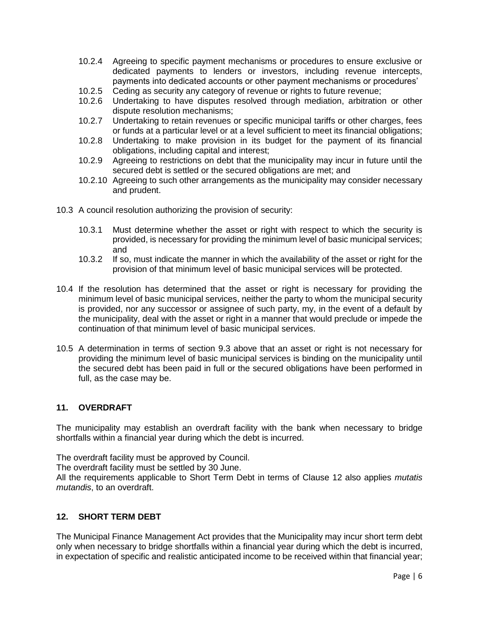- 10.2.4 Agreeing to specific payment mechanisms or procedures to ensure exclusive or dedicated payments to lenders or investors, including revenue intercepts, payments into dedicated accounts or other payment mechanisms or procedures'
- 10.2.5 Ceding as security any category of revenue or rights to future revenue;
- 10.2.6 Undertaking to have disputes resolved through mediation, arbitration or other dispute resolution mechanisms;
- 10.2.7 Undertaking to retain revenues or specific municipal tariffs or other charges, fees or funds at a particular level or at a level sufficient to meet its financial obligations;
- 10.2.8 Undertaking to make provision in its budget for the payment of its financial obligations, including capital and interest;
- 10.2.9 Agreeing to restrictions on debt that the municipality may incur in future until the secured debt is settled or the secured obligations are met; and
- 10.2.10 Agreeing to such other arrangements as the municipality may consider necessary and prudent.
- 10.3 A council resolution authorizing the provision of security:
	- 10.3.1 Must determine whether the asset or right with respect to which the security is provided, is necessary for providing the minimum level of basic municipal services; and
	- 10.3.2 If so, must indicate the manner in which the availability of the asset or right for the provision of that minimum level of basic municipal services will be protected.
- 10.4 If the resolution has determined that the asset or right is necessary for providing the minimum level of basic municipal services, neither the party to whom the municipal security is provided, nor any successor or assignee of such party, my, in the event of a default by the municipality, deal with the asset or right in a manner that would preclude or impede the continuation of that minimum level of basic municipal services.
- 10.5 A determination in terms of section 9.3 above that an asset or right is not necessary for providing the minimum level of basic municipal services is binding on the municipality until the secured debt has been paid in full or the secured obligations have been performed in full, as the case may be.

# **11. OVERDRAFT**

The municipality may establish an overdraft facility with the bank when necessary to bridge shortfalls within a financial year during which the debt is incurred.

The overdraft facility must be approved by Council.

The overdraft facility must be settled by 30 June.

All the requirements applicable to Short Term Debt in terms of Clause 12 also applies *mutatis mutandis*, to an overdraft.

# **12. SHORT TERM DEBT**

The Municipal Finance Management Act provides that the Municipality may incur short term debt only when necessary to bridge shortfalls within a financial year during which the debt is incurred, in expectation of specific and realistic anticipated income to be received within that financial year;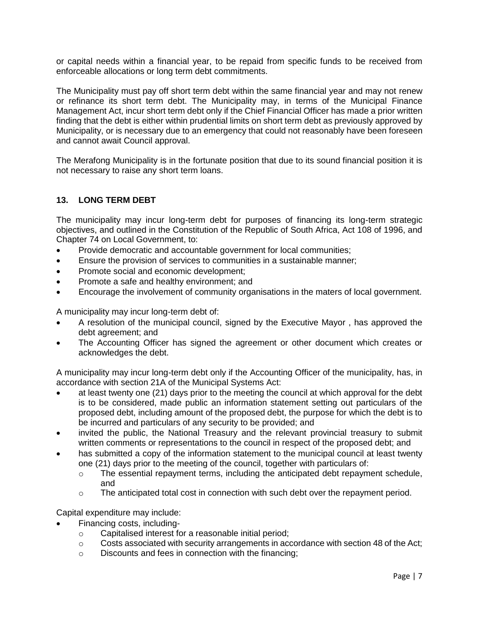or capital needs within a financial year, to be repaid from specific funds to be received from enforceable allocations or long term debt commitments.

The Municipality must pay off short term debt within the same financial year and may not renew or refinance its short term debt. The Municipality may, in terms of the Municipal Finance Management Act, incur short term debt only if the Chief Financial Officer has made a prior written finding that the debt is either within prudential limits on short term debt as previously approved by Municipality, or is necessary due to an emergency that could not reasonably have been foreseen and cannot await Council approval.

The Merafong Municipality is in the fortunate position that due to its sound financial position it is not necessary to raise any short term loans.

# **13. LONG TERM DEBT**

The municipality may incur long-term debt for purposes of financing its long-term strategic objectives, and outlined in the Constitution of the Republic of South Africa, Act 108 of 1996, and Chapter 74 on Local Government, to:

- Provide democratic and accountable government for local communities;
- Ensure the provision of services to communities in a sustainable manner;
- Promote social and economic development;
- Promote a safe and healthy environment; and
- Encourage the involvement of community organisations in the maters of local government.

A municipality may incur long-term debt of:

- A resolution of the municipal council, signed by the Executive Mayor , has approved the debt agreement; and
- The Accounting Officer has signed the agreement or other document which creates or acknowledges the debt.

A municipality may incur long-term debt only if the Accounting Officer of the municipality, has, in accordance with section 21A of the Municipal Systems Act:

- at least twenty one (21) days prior to the meeting the council at which approval for the debt is to be considered, made public an information statement setting out particulars of the proposed debt, including amount of the proposed debt, the purpose for which the debt is to be incurred and particulars of any security to be provided; and
- invited the public, the National Treasury and the relevant provincial treasury to submit written comments or representations to the council in respect of the proposed debt; and
- has submitted a copy of the information statement to the municipal council at least twenty one (21) days prior to the meeting of the council, together with particulars of:
	- $\circ$  The essential repayment terms, including the anticipated debt repayment schedule, and
	- $\circ$  The anticipated total cost in connection with such debt over the repayment period.

Capital expenditure may include:

- Financing costs, including
	- o Capitalised interest for a reasonable initial period;
	- o Costs associated with security arrangements in accordance with section 48 of the Act;
	- o Discounts and fees in connection with the financing;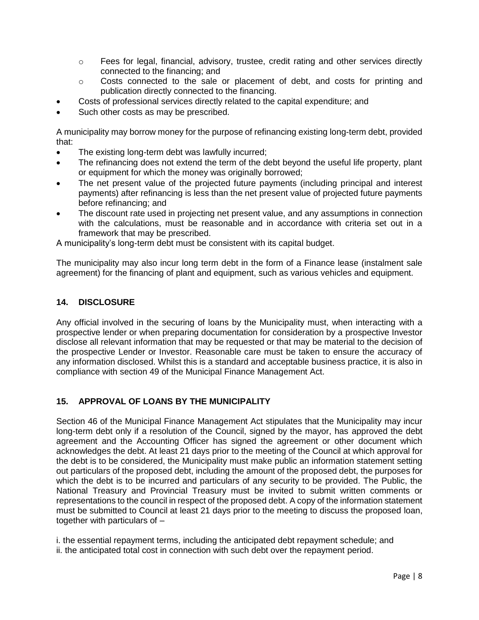- $\circ$  Fees for legal, financial, advisory, trustee, credit rating and other services directly connected to the financing; and
- $\circ$  Costs connected to the sale or placement of debt, and costs for printing and publication directly connected to the financing.
- Costs of professional services directly related to the capital expenditure; and
- Such other costs as may be prescribed.

A municipality may borrow money for the purpose of refinancing existing long-term debt, provided that:

- The existing long-term debt was lawfully incurred;
- The refinancing does not extend the term of the debt beyond the useful life property, plant or equipment for which the money was originally borrowed;
- The net present value of the projected future payments (including principal and interest payments) after refinancing is less than the net present value of projected future payments before refinancing; and
- The discount rate used in projecting net present value, and any assumptions in connection with the calculations, must be reasonable and in accordance with criteria set out in a framework that may be prescribed.

A municipality's long-term debt must be consistent with its capital budget.

The municipality may also incur long term debt in the form of a Finance lease (instalment sale agreement) for the financing of plant and equipment, such as various vehicles and equipment.

# **14. DISCLOSURE**

Any official involved in the securing of loans by the Municipality must, when interacting with a prospective lender or when preparing documentation for consideration by a prospective Investor disclose all relevant information that may be requested or that may be material to the decision of the prospective Lender or Investor. Reasonable care must be taken to ensure the accuracy of any information disclosed. Whilst this is a standard and acceptable business practice, it is also in compliance with section 49 of the Municipal Finance Management Act.

# **15. APPROVAL OF LOANS BY THE MUNICIPALITY**

Section 46 of the Municipal Finance Management Act stipulates that the Municipality may incur long-term debt only if a resolution of the Council, signed by the mayor, has approved the debt agreement and the Accounting Officer has signed the agreement or other document which acknowledges the debt. At least 21 days prior to the meeting of the Council at which approval for the debt is to be considered, the Municipality must make public an information statement setting out particulars of the proposed debt, including the amount of the proposed debt, the purposes for which the debt is to be incurred and particulars of any security to be provided. The Public, the National Treasury and Provincial Treasury must be invited to submit written comments or representations to the council in respect of the proposed debt. A copy of the information statement must be submitted to Council at least 21 days prior to the meeting to discuss the proposed loan, together with particulars of –

i. the essential repayment terms, including the anticipated debt repayment schedule; and ii. the anticipated total cost in connection with such debt over the repayment period.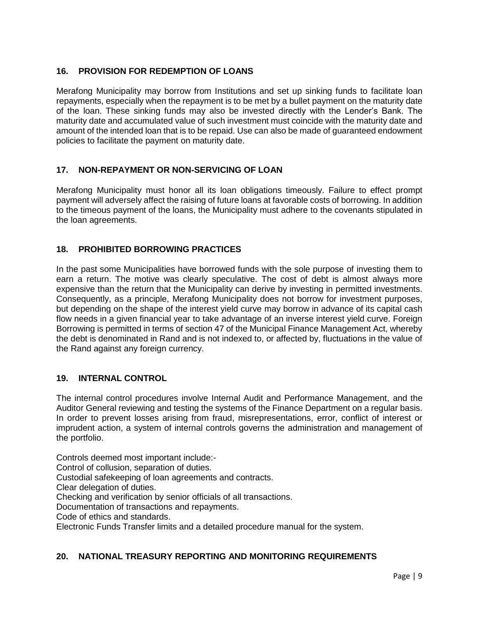# **16. PROVISION FOR REDEMPTION OF LOANS**

Merafong Municipality may borrow from Institutions and set up sinking funds to facilitate loan repayments, especially when the repayment is to be met by a bullet payment on the maturity date of the loan. These sinking funds may also be invested directly with the Lender's Bank. The maturity date and accumulated value of such investment must coincide with the maturity date and amount of the intended loan that is to be repaid. Use can also be made of guaranteed endowment policies to facilitate the payment on maturity date.

# **17. NON-REPAYMENT OR NON-SERVICING OF LOAN**

Merafong Municipality must honor all its loan obligations timeously. Failure to effect prompt payment will adversely affect the raising of future loans at favorable costs of borrowing. In addition to the timeous payment of the loans, the Municipality must adhere to the covenants stipulated in the loan agreements.

# **18. PROHIBITED BORROWING PRACTICES**

In the past some Municipalities have borrowed funds with the sole purpose of investing them to earn a return. The motive was clearly speculative. The cost of debt is almost always more expensive than the return that the Municipality can derive by investing in permitted investments. Consequently, as a principle, Merafong Municipality does not borrow for investment purposes, but depending on the shape of the interest yield curve may borrow in advance of its capital cash flow needs in a given financial year to take advantage of an inverse interest yield curve. Foreign Borrowing is permitted in terms of section 47 of the Municipal Finance Management Act, whereby the debt is denominated in Rand and is not indexed to, or affected by, fluctuations in the value of the Rand against any foreign currency.

# **19. INTERNAL CONTROL**

The internal control procedures involve Internal Audit and Performance Management, and the Auditor General reviewing and testing the systems of the Finance Department on a regular basis. In order to prevent losses arising from fraud, misrepresentations, error, conflict of interest or imprudent action, a system of internal controls governs the administration and management of the portfolio.

Controls deemed most important include:- Control of collusion, separation of duties. Custodial safekeeping of loan agreements and contracts. Clear delegation of duties. Checking and verification by senior officials of all transactions. Documentation of transactions and repayments. Code of ethics and standards. Electronic Funds Transfer limits and a detailed procedure manual for the system.

# **20. NATIONAL TREASURY REPORTING AND MONITORING REQUIREMENTS**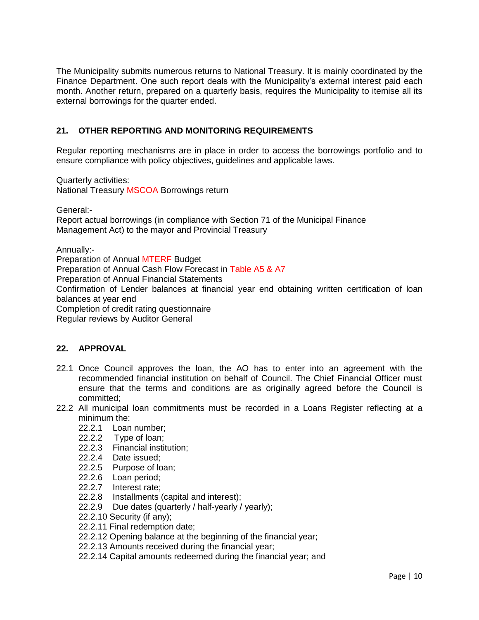The Municipality submits numerous returns to National Treasury. It is mainly coordinated by the Finance Department. One such report deals with the Municipality's external interest paid each month. Another return, prepared on a quarterly basis, requires the Municipality to itemise all its external borrowings for the quarter ended.

# **21. OTHER REPORTING AND MONITORING REQUIREMENTS**

Regular reporting mechanisms are in place in order to access the borrowings portfolio and to ensure compliance with policy objectives, guidelines and applicable laws.

Quarterly activities: National Treasury MSCOA Borrowings return

General:-

Report actual borrowings (in compliance with Section 71 of the Municipal Finance Management Act) to the mayor and Provincial Treasury

Annually:-

Preparation of Annual MTERF Budget Preparation of Annual Cash Flow Forecast in Table A5 & A7 Preparation of Annual Financial Statements Confirmation of Lender balances at financial year end obtaining written certification of loan balances at year end Completion of credit rating questionnaire Regular reviews by Auditor General

# **22. APPROVAL**

- 22.1 Once Council approves the loan, the AO has to enter into an agreement with the recommended financial institution on behalf of Council. The Chief Financial Officer must ensure that the terms and conditions are as originally agreed before the Council is committed;
- 22.2 All municipal loan commitments must be recorded in a Loans Register reflecting at a minimum the:
	- 22.2.1 Loan number;
	- 22.2.2 Type of loan;
	- 22.2.3 Financial institution;
	- 22.2.4 Date issued;
	- 22.2.5 Purpose of loan;
	- 22.2.6 Loan period;
	- 22.2.7 Interest rate;
	- 22.2.8 Installments (capital and interest);
	- 22.2.9 Due dates (quarterly / half-yearly / yearly);
	- 22.2.10 Security (if any);
	- 22.2.11 Final redemption date;
	- 22.2.12 Opening balance at the beginning of the financial year;
	- 22.2.13 Amounts received during the financial year;
	- 22.2.14 Capital amounts redeemed during the financial year; and